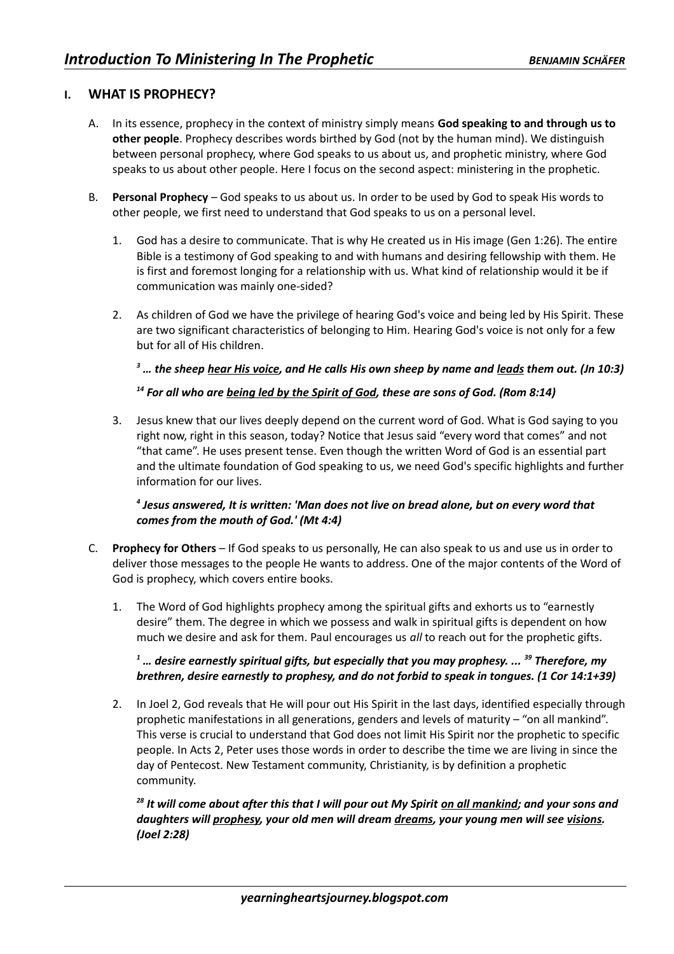# **I. WHAT IS PROPHECY?**

- A. In its essence, prophecy in the context of ministry simply means **God speaking to and through us to other people**. Prophecy describes words birthed by God (not by the human mind). We distinguish between personal prophecy, where God speaks to us about us, and prophetic ministry, where God speaks to us about other people. Here I focus on the second aspect: ministering in the prophetic.
- B. **Personal Prophecy** God speaks to us about us. In order to be used by God to speak His words to other people, we first need to understand that God speaks to us on a personal level.
	- 1. God has a desire to communicate. That is why He created us in His image (Gen 1:26). The entire Bible is a testimony of God speaking to and with humans and desiring fellowship with them. He is first and foremost longing for a relationship with us. What kind of relationship would it be if communication was mainly one-sided?
	- 2. As children of God we have the privilege of hearing God's voice and being led by His Spirit. These are two significant characteristics of belonging to Him. Hearing God's voice is not only for a few but for all of His children.

## *3 … the sheep hear His voice, and He calls His own sheep by name and leads them out. (Jn 10:3)*

## *<sup>14</sup> For all who are being led by the Spirit of God, these are sons of God. (Rom 8:14)*

3. Jesus knew that our lives deeply depend on the current word of God. What is God saying to you right now, right in this season, today? Notice that Jesus said "every word that comes" and not "that came". He uses present tense. Even though the written Word of God is an essential part and the ultimate foundation of God speaking to us, we need God's specific highlights and further information for our lives.

## *4 Jesus answered, It is written: 'Man does not live on bread alone, but on every word that comes from the mouth of God.' (Mt 4:4)*

- C. **Prophecy for Others** If God speaks to us personally, He can also speak to us and use us in order to deliver those messages to the people He wants to address. One of the major contents of the Word of God is prophecy, which covers entire books.
	- 1. The Word of God highlights prophecy among the spiritual gifts and exhorts us to "earnestly desire" them. The degree in which we possess and walk in spiritual gifts is dependent on how much we desire and ask for them. Paul encourages us *all* to reach out for the prophetic gifts.

## *1 … desire earnestly spiritual gifts, but especially that you may prophesy. ... <sup>39</sup> Therefore, my brethren, desire earnestly to prophesy, and do not forbid to speak in tongues. (1 Cor 14:1+39)*

2. In Joel 2, God reveals that He will pour out His Spirit in the last days, identified especially through prophetic manifestations in all generations, genders and levels of maturity – "on all mankind". This verse is crucial to understand that God does not limit His Spirit nor the prophetic to specific people. In Acts 2, Peter uses those words in order to describe the time we are living in since the day of Pentecost. New Testament community, Christianity, is by definition a prophetic community.

*<sup>28</sup> It will come about after this that I will pour out My Spirit on all mankind; and your sons and daughters will prophesy, your old men will dream dreams, your young men will see visions. (Joel 2:28)*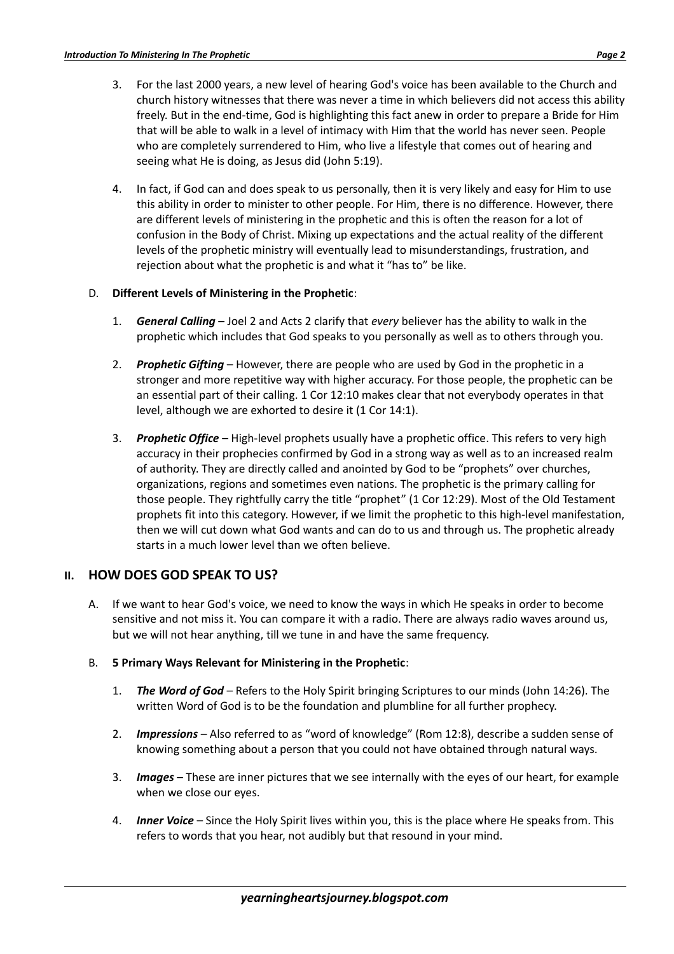- 3. For the last 2000 years, a new level of hearing God's voice has been available to the Church and church history witnesses that there was never a time in which believers did not access this ability freely. But in the end-time, God is highlighting this fact anew in order to prepare a Bride for Him that will be able to walk in a level of intimacy with Him that the world has never seen. People who are completely surrendered to Him, who live a lifestyle that comes out of hearing and seeing what He is doing, as Jesus did (John 5:19).
- 4. In fact, if God can and does speak to us personally, then it is very likely and easy for Him to use this ability in order to minister to other people. For Him, there is no difference. However, there are different levels of ministering in the prophetic and this is often the reason for a lot of confusion in the Body of Christ. Mixing up expectations and the actual reality of the different levels of the prophetic ministry will eventually lead to misunderstandings, frustration, and rejection about what the prophetic is and what it "has to" be like.

## D. **Different Levels of Ministering in the Prophetic**:

- 1. *General Calling* Joel 2 and Acts 2 clarify that *every* believer has the ability to walk in the prophetic which includes that God speaks to you personally as well as to others through you.
- 2. *Prophetic Gifting* However, there are people who are used by God in the prophetic in a stronger and more repetitive way with higher accuracy. For those people, the prophetic can be an essential part of their calling. 1 Cor 12:10 makes clear that not everybody operates in that level, although we are exhorted to desire it (1 Cor 14:1).
- 3. *Prophetic Office* High-level prophets usually have a prophetic office. This refers to very high accuracy in their prophecies confirmed by God in a strong way as well as to an increased realm of authority. They are directly called and anointed by God to be "prophets" over churches, organizations, regions and sometimes even nations. The prophetic is the primary calling for those people. They rightfully carry the title "prophet" (1 Cor 12:29). Most of the Old Testament prophets fit into this category. However, if we limit the prophetic to this high-level manifestation, then we will cut down what God wants and can do to us and through us. The prophetic already starts in a much lower level than we often believe.

# **II. HOW DOES GOD SPEAK TO US?**

- A. If we want to hear God's voice, we need to know the ways in which He speaks in order to become sensitive and not miss it. You can compare it with a radio. There are always radio waves around us, but we will not hear anything, till we tune in and have the same frequency.
- B. **5 Primary Ways Relevant for Ministering in the Prophetic**:
	- 1. *The Word of God* Refers to the Holy Spirit bringing Scriptures to our minds (John 14:26). The written Word of God is to be the foundation and plumbline for all further prophecy.
	- 2. *Impressions* Also referred to as "word of knowledge" (Rom 12:8), describe a sudden sense of knowing something about a person that you could not have obtained through natural ways.
	- 3. *Images* These are inner pictures that we see internally with the eyes of our heart, for example when we close our eyes.
	- 4. *Inner Voice* Since the Holy Spirit lives within you, this is the place where He speaks from. This refers to words that you hear, not audibly but that resound in your mind.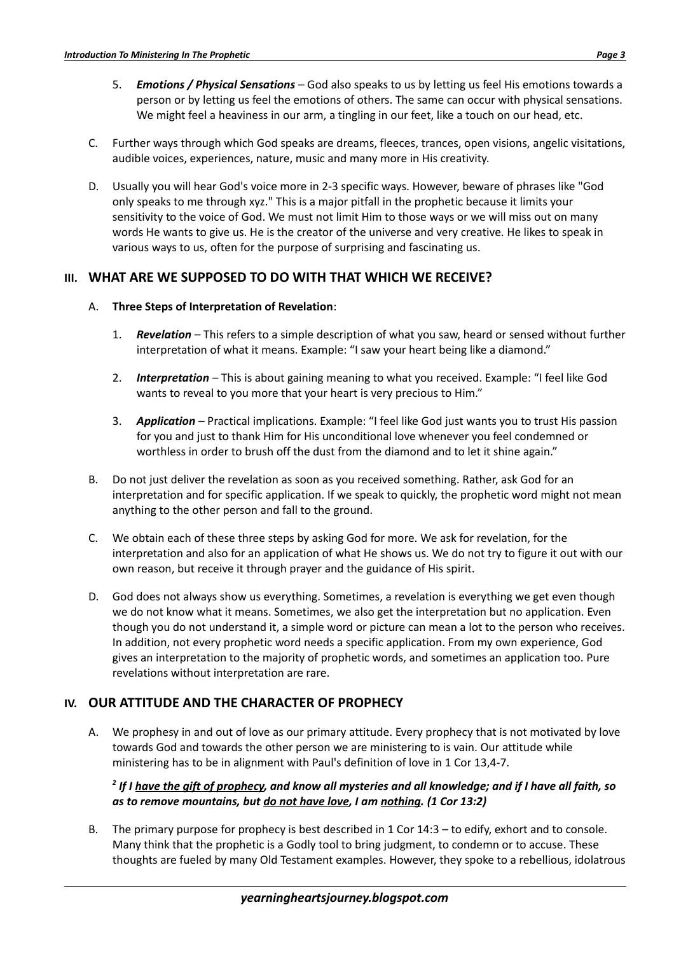- 5. *Emotions / Physical Sensations* God also speaks to us by letting us feel His emotions towards a person or by letting us feel the emotions of others. The same can occur with physical sensations. We might feel a heaviness in our arm, a tingling in our feet, like a touch on our head, etc.
- C. Further ways through which God speaks are dreams, fleeces, trances, open visions, angelic visitations, audible voices, experiences, nature, music and many more in His creativity.
- D. Usually you will hear God's voice more in 2-3 specific ways. However, beware of phrases like "God only speaks to me through xyz." This is a major pitfall in the prophetic because it limits your sensitivity to the voice of God. We must not limit Him to those ways or we will miss out on many words He wants to give us. He is the creator of the universe and very creative. He likes to speak in various ways to us, often for the purpose of surprising and fascinating us.

# **III. WHAT ARE WE SUPPOSED TO DO WITH THAT WHICH WE RECEIVE?**

#### A. **Three Steps of Interpretation of Revelation**:

- 1. *Revelation* This refers to a simple description of what you saw, heard or sensed without further interpretation of what it means. Example: "I saw your heart being like a diamond."
- 2. *Interpretation* This is about gaining meaning to what you received. Example: "I feel like God wants to reveal to you more that your heart is very precious to Him."
- 3. *Application* Practical implications. Example: "I feel like God just wants you to trust His passion for you and just to thank Him for His unconditional love whenever you feel condemned or worthless in order to brush off the dust from the diamond and to let it shine again."
- B. Do not just deliver the revelation as soon as you received something. Rather, ask God for an interpretation and for specific application. If we speak to quickly, the prophetic word might not mean anything to the other person and fall to the ground.
- C. We obtain each of these three steps by asking God for more. We ask for revelation, for the interpretation and also for an application of what He shows us. We do not try to figure it out with our own reason, but receive it through prayer and the guidance of His spirit.
- D. God does not always show us everything. Sometimes, a revelation is everything we get even though we do not know what it means. Sometimes, we also get the interpretation but no application. Even though you do not understand it, a simple word or picture can mean a lot to the person who receives. In addition, not every prophetic word needs a specific application. From my own experience, God gives an interpretation to the majority of prophetic words, and sometimes an application too. Pure revelations without interpretation are rare.

# **IV. OUR ATTITUDE AND THE CHARACTER OF PROPHECY**

A. We prophesy in and out of love as our primary attitude. Every prophecy that is not motivated by love towards God and towards the other person we are ministering to is vain. Our attitude while ministering has to be in alignment with Paul's definition of love in 1 Cor 13,4-7.

## *2 If I have the gift of prophecy, and know all mysteries and all knowledge; and if I have all faith, so as to remove mountains, but do not have love, I am nothing. (1 Cor 13:2)*

B. The primary purpose for prophecy is best described in 1 Cor 14:3 – to edify, exhort and to console. Many think that the prophetic is a Godly tool to bring judgment, to condemn or to accuse. These thoughts are fueled by many Old Testament examples. However, they spoke to a rebellious, idolatrous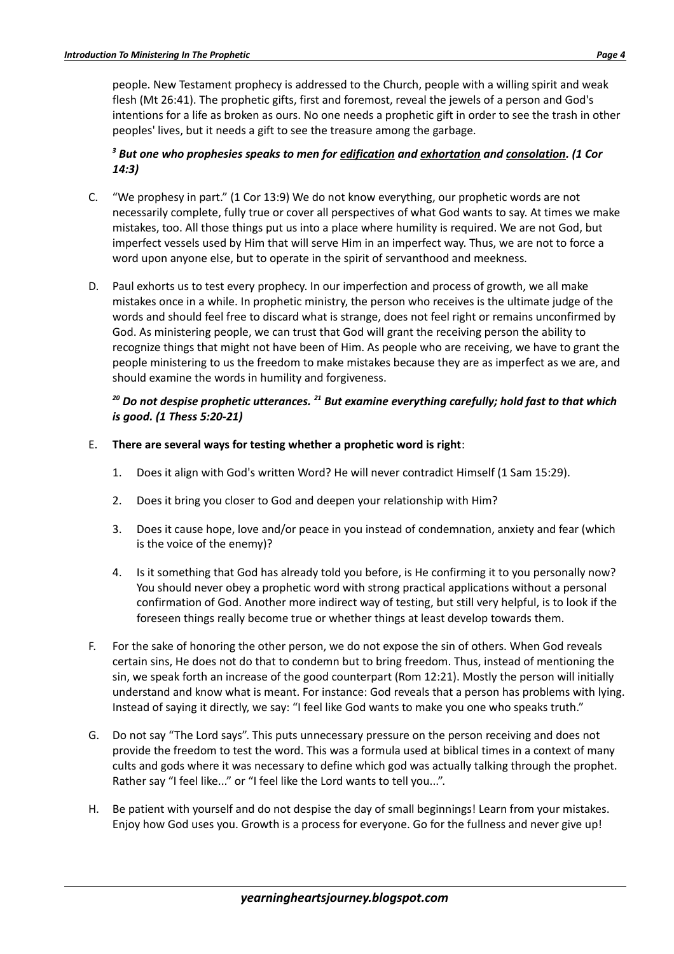people. New Testament prophecy is addressed to the Church, people with a willing spirit and weak flesh (Mt 26:41). The prophetic gifts, first and foremost, reveal the jewels of a person and God's intentions for a life as broken as ours. No one needs a prophetic gift in order to see the trash in other peoples' lives, but it needs a gift to see the treasure among the garbage.

# *3 But one who prophesies speaks to men for edification and exhortation and consolation. (1 Cor 14:3)*

- C. "We prophesy in part." (1 Cor 13:9) We do not know everything, our prophetic words are not necessarily complete, fully true or cover all perspectives of what God wants to say. At times we make mistakes, too. All those things put us into a place where humility is required. We are not God, but imperfect vessels used by Him that will serve Him in an imperfect way. Thus, we are not to force a word upon anyone else, but to operate in the spirit of servanthood and meekness.
- D. Paul exhorts us to test every prophecy. In our imperfection and process of growth, we all make mistakes once in a while. In prophetic ministry, the person who receives is the ultimate judge of the words and should feel free to discard what is strange, does not feel right or remains unconfirmed by God. As ministering people, we can trust that God will grant the receiving person the ability to recognize things that might not have been of Him. As people who are receiving, we have to grant the people ministering to us the freedom to make mistakes because they are as imperfect as we are, and should examine the words in humility and forgiveness.

## *<sup>20</sup> Do not despise prophetic utterances. <sup>21</sup> But examine everything carefully; hold fast to that which is good. (1 Thess 5:20-21)*

#### E. **There are several ways for testing whether a prophetic word is right**:

- 1. Does it align with God's written Word? He will never contradict Himself (1 Sam 15:29).
- 2. Does it bring you closer to God and deepen your relationship with Him?
- 3. Does it cause hope, love and/or peace in you instead of condemnation, anxiety and fear (which is the voice of the enemy)?
- 4. Is it something that God has already told you before, is He confirming it to you personally now? You should never obey a prophetic word with strong practical applications without a personal confirmation of God. Another more indirect way of testing, but still very helpful, is to look if the foreseen things really become true or whether things at least develop towards them.
- F. For the sake of honoring the other person, we do not expose the sin of others. When God reveals certain sins, He does not do that to condemn but to bring freedom. Thus, instead of mentioning the sin, we speak forth an increase of the good counterpart (Rom 12:21). Mostly the person will initially understand and know what is meant. For instance: God reveals that a person has problems with lying. Instead of saying it directly, we say: "I feel like God wants to make you one who speaks truth."
- G. Do not say "The Lord says". This puts unnecessary pressure on the person receiving and does not provide the freedom to test the word. This was a formula used at biblical times in a context of many cults and gods where it was necessary to define which god was actually talking through the prophet. Rather say "I feel like..." or "I feel like the Lord wants to tell you...".
- H. Be patient with yourself and do not despise the day of small beginnings! Learn from your mistakes. Enjoy how God uses you. Growth is a process for everyone. Go for the fullness and never give up!